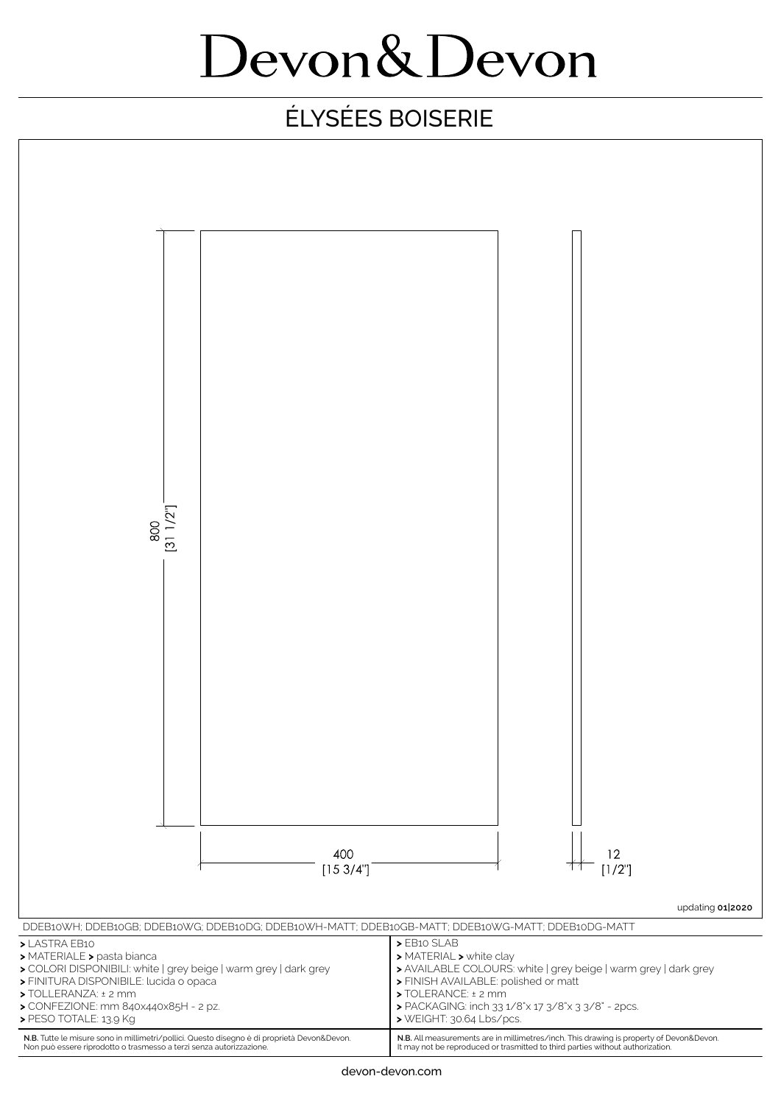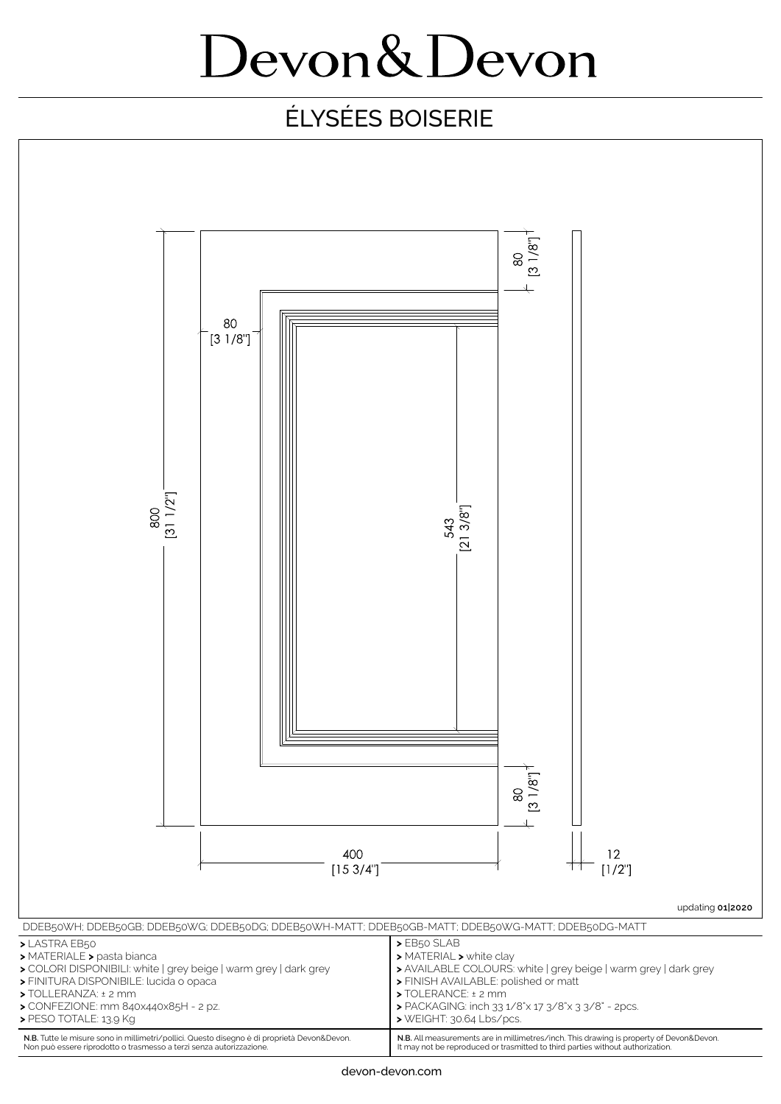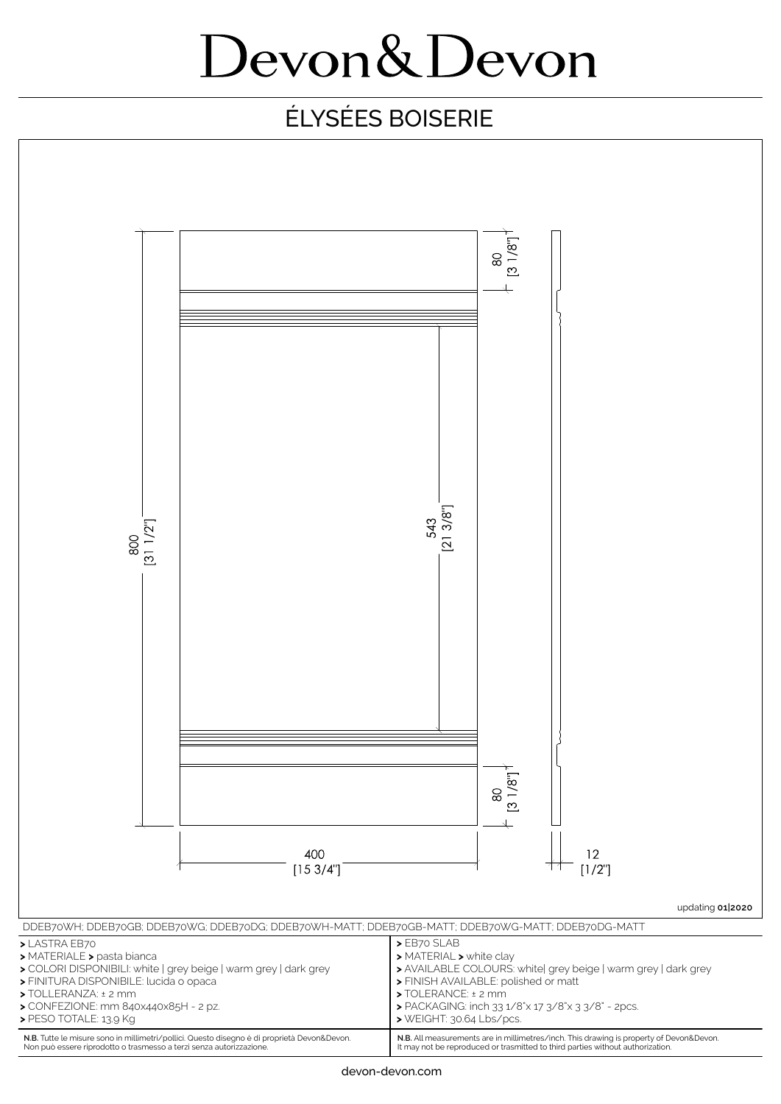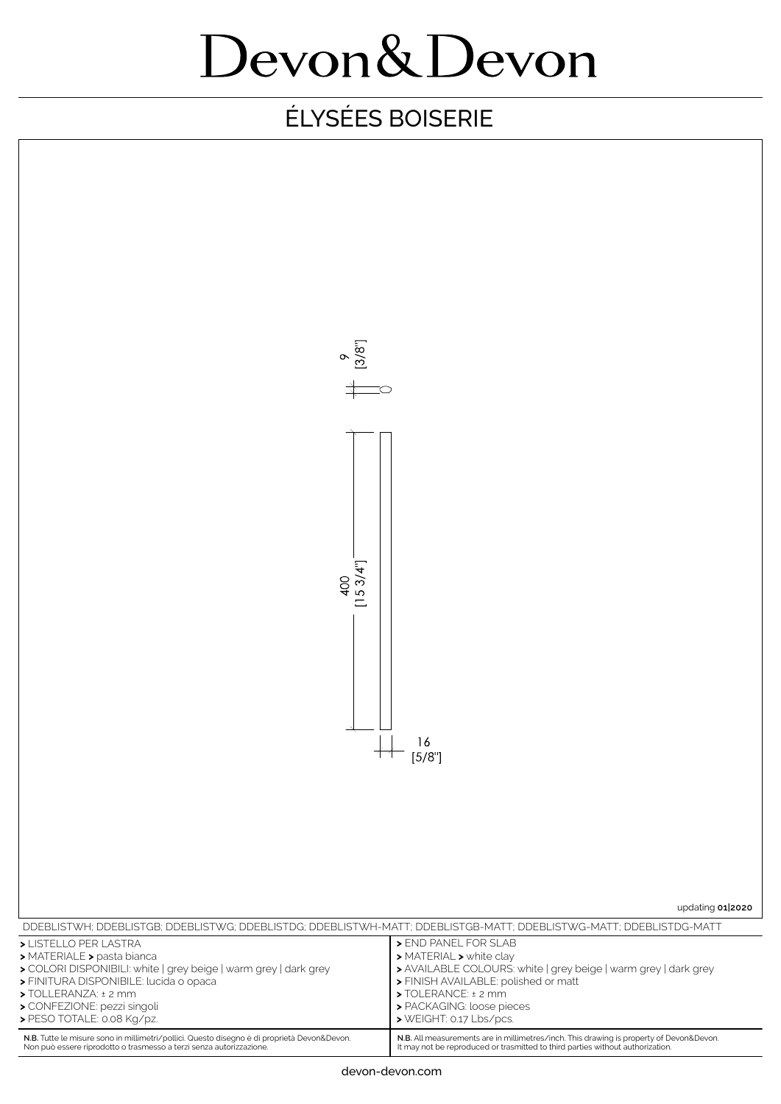

| DDEBLISTWH: DDEBLISTGB: DDEBLISTWG: DDEBLISTDG: DDEBLISTWH-MATT: DDEBLISTGB-MATT: DDEBLISTWG-MATT: DDEBLISTDG-MATT |                                                                                         |
|--------------------------------------------------------------------------------------------------------------------|-----------------------------------------------------------------------------------------|
| > LISTELLO PER LASTRA                                                                                              | > END PANEL FOR SLAB                                                                    |
| > MATERIALE > pasta bianca                                                                                         | > MATERIAL > white clay                                                                 |
| > COLORI DISPONIBILI: white   grey beige   warm grey   dark grey                                                   | > AVAILABLE COLOURS: white   grey beige   warm grey   dark grey                         |
| > FINITURA DISPONIBILE: lucida o opaca                                                                             | > FINISH AVAILABLE: polished or matt                                                    |
| $\triangleright$ TOLLERANZA: $\pm$ 2 mm                                                                            | $\triangleright$ TOLERANCE: $\pm$ 2 mm                                                  |
| > CONFEZIONE: pezzi singoli                                                                                        | > PACKAGING: loose pieces                                                               |
| > PESO TOTALE: 0.08 Kg/pz.                                                                                         | > WEIGHT: 0.17 Lbs/pcs.                                                                 |
| N.B. Tutte le misure sono in millimetri/pollici. Questo disegno è di proprietà Devon&Devon.                        | N.B. All measurements are in millimetres/inch. This drawing is property of Devon&Devon. |
| Non può essere riprodotto o trasmesso a terzi senza autorizzazione.                                                | It may not be reproduced or trasmitted to third parties without authorization.          |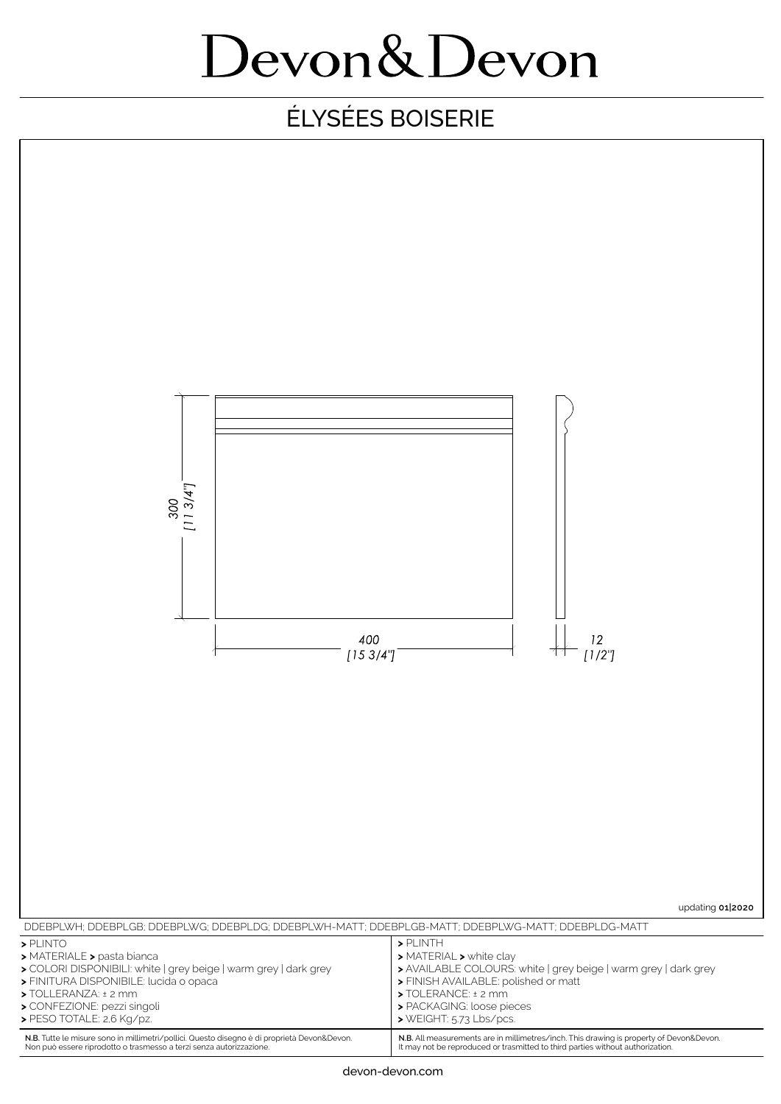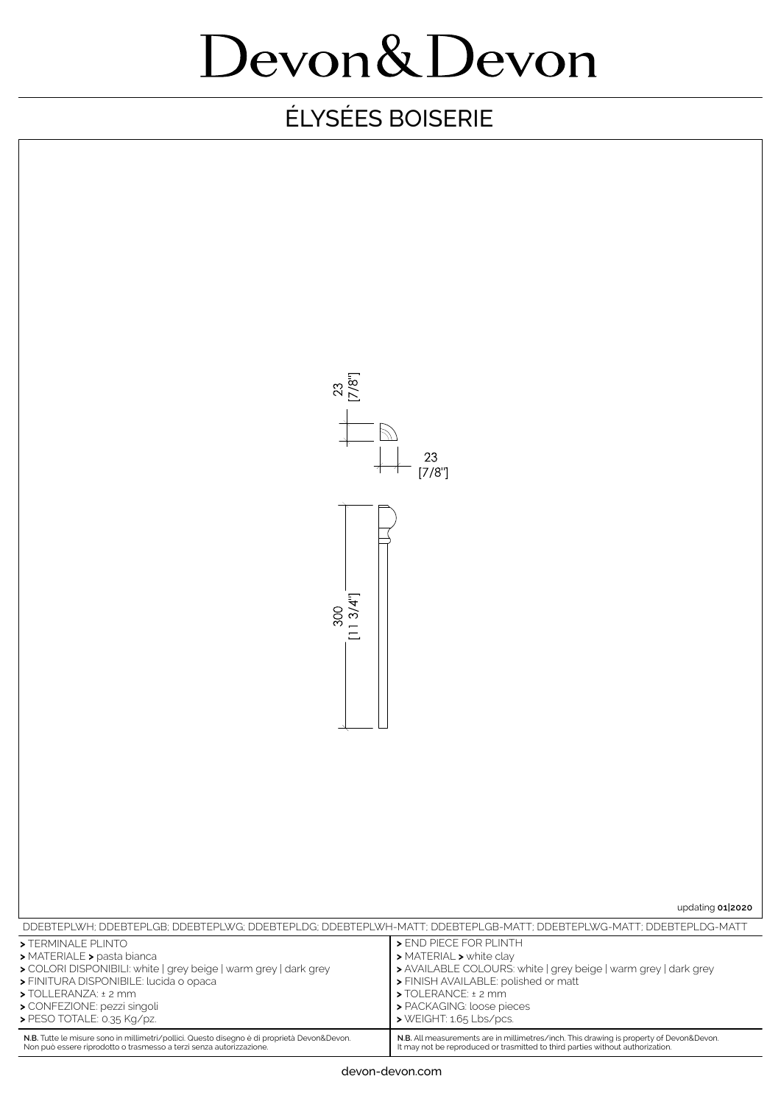| $23$<br>[7/8"]                                                                                                                                                                                                                                     |                                                                                                                                                                                                                                             |
|----------------------------------------------------------------------------------------------------------------------------------------------------------------------------------------------------------------------------------------------------|---------------------------------------------------------------------------------------------------------------------------------------------------------------------------------------------------------------------------------------------|
| $^{23}_{[7/8"]}$                                                                                                                                                                                                                                   |                                                                                                                                                                                                                                             |
|                                                                                                                                                                                                                                                    |                                                                                                                                                                                                                                             |
| [113/4"]<br>300                                                                                                                                                                                                                                    |                                                                                                                                                                                                                                             |
|                                                                                                                                                                                                                                                    |                                                                                                                                                                                                                                             |
|                                                                                                                                                                                                                                                    |                                                                                                                                                                                                                                             |
|                                                                                                                                                                                                                                                    |                                                                                                                                                                                                                                             |
|                                                                                                                                                                                                                                                    |                                                                                                                                                                                                                                             |
| updating 01 2020                                                                                                                                                                                                                                   |                                                                                                                                                                                                                                             |
| DDEBTEPLWH; DDEBTEPLGB; DDEBTEPLWG; DDEBTEPLDG; DDEBTEPLWH-MATT; DDEBTEPLGB-MATT; DDEBTEPLWG-MATT; DDEBTEPLDG-MATT                                                                                                                                 |                                                                                                                                                                                                                                             |
| >TERMINALE PLINTO<br>> MATERIALE > pasta bianca<br>> COLORI DISPONIBILI: white   grey beige   warm grey   dark grey<br>> FINITURA DISPONIBILE: lucida o opaca<br>> TOLLERANZA: ± 2 mm<br>> CONFEZIONE: pezzi singoli<br>> PESO TOTALE: 0.35 Kg/pz. | > END PIECE FOR PLINTH<br>> MATERIAL > white clay<br>> AVAILABLE COLOURS: white   grey beige   warm grey   dark grey<br>> FINISH AVAILABLE: polished or matt<br>> TOLERANCE: ± 2 mm<br>> PACKAGING: loose pieces<br>> WEIGHT: 1.65 Lbs/pcs. |
| N.B. Tutte le misure sono in millimetri/pollici. Questo disegno è di proprietà Devon&Devon.<br>Non può essere riprodotto o trasmesso a terzi senza autorizzazione.                                                                                 | N.B. All measurements are in millimetres/inch. This drawing is property of Devon&Devon.<br>It may not be reproduced or trasmitted to third parties without authorization.                                                                   |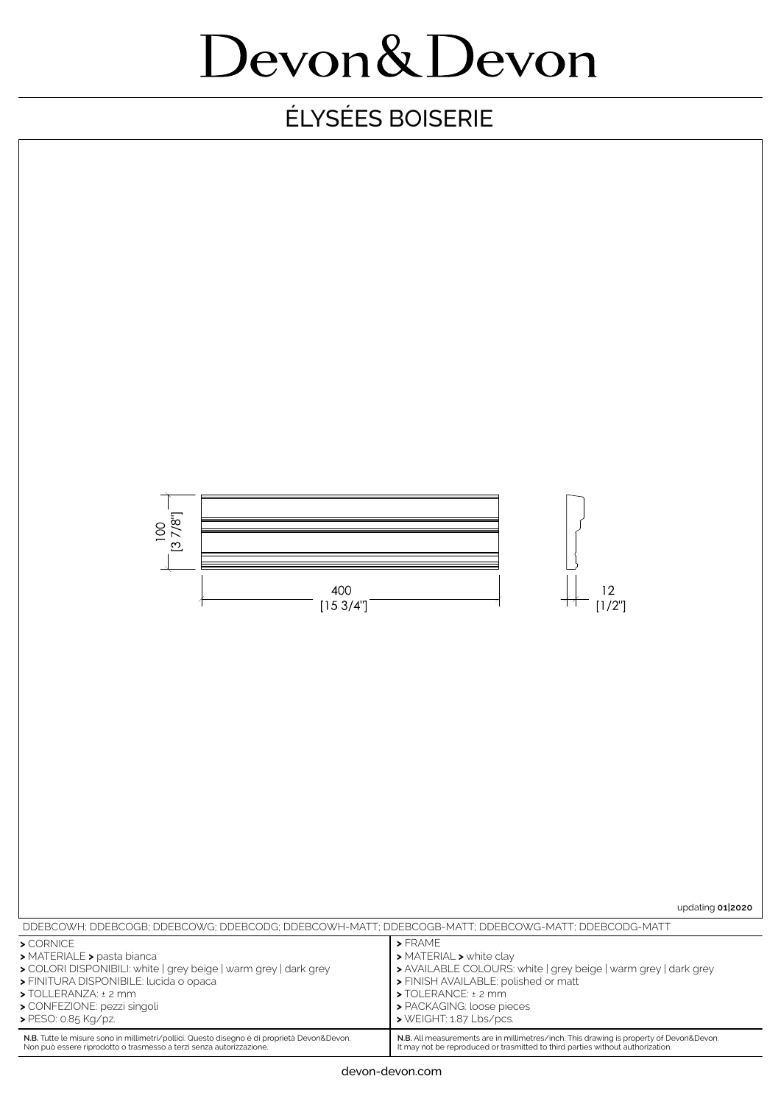